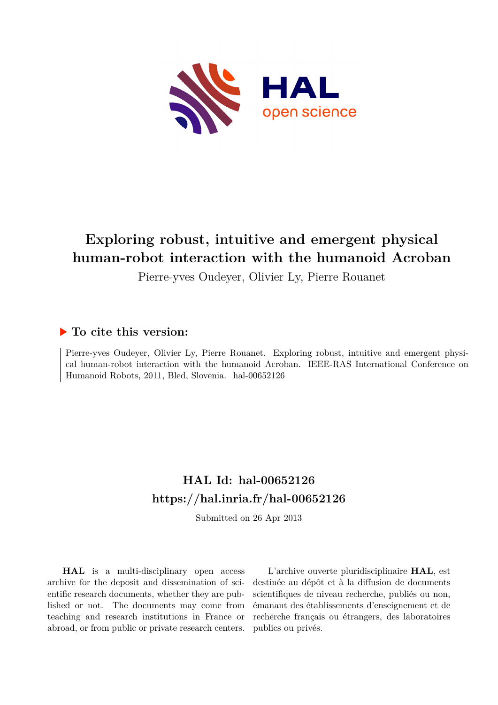

# **Exploring robust, intuitive and emergent physical human-robot interaction with the humanoid Acroban**

Pierre-yves Oudeyer, Olivier Ly, Pierre Rouanet

# **To cite this version:**

Pierre-yves Oudeyer, Olivier Ly, Pierre Rouanet. Exploring robust, intuitive and emergent physical human-robot interaction with the humanoid Acroban. IEEE-RAS International Conference on Humanoid Robots, 2011, Bled, Slovenia. hal-00652126

# **HAL Id: hal-00652126 <https://hal.inria.fr/hal-00652126>**

Submitted on 26 Apr 2013

**HAL** is a multi-disciplinary open access archive for the deposit and dissemination of scientific research documents, whether they are published or not. The documents may come from teaching and research institutions in France or abroad, or from public or private research centers.

L'archive ouverte pluridisciplinaire **HAL**, est destinée au dépôt et à la diffusion de documents scientifiques de niveau recherche, publiés ou non, émanant des établissements d'enseignement et de recherche français ou étrangers, des laboratoires publics ou privés.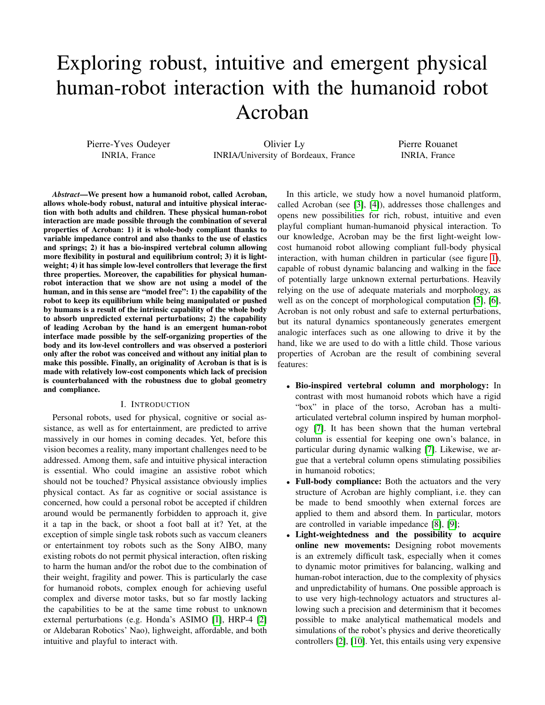# Exploring robust, intuitive and emergent physical human-robot interaction with the humanoid robot Acroban

Pierre-Yves Oudeyer INRIA, France

Olivier Ly INRIA/University of Bordeaux, France Pierre Rouanet INRIA, France

*Abstract*—We present how a humanoid robot, called Acroban, allows whole-body robust, natural and intuitive physical interaction with both adults and children. These physical human-robot interaction are made possible through the combination of several properties of Acroban: 1) it is whole-body compliant thanks to variable impedance control and also thanks to the use of elastics and springs; 2) it has a bio-inspired vertebral column allowing more flexibility in postural and equilibrium control; 3) it is lightweight; 4) it has simple low-level controllers that leverage the first three properties. Moreover, the capabilities for physical humanrobot interaction that we show are not using a model of the human, and in this sense are "model free": 1) the capability of the robot to keep its equilibrium while being manipulated or pushed by humans is a result of the intrinsic capability of the whole body to absorb unpredicted external perturbations; 2) the capability of leading Acroban by the hand is an emergent human-robot interface made possible by the self-organizing properties of the body and its low-level controllers and was observed a posteriori only after the robot was conceived and without any initial plan to make this possible. Finally, an originality of Acroban is that is is made with relatively low-cost components which lack of precision is counterbalanced with the robustness due to global geometry and compliance.

## I. INTRODUCTION

Personal robots, used for physical, cognitive or social assistance, as well as for entertainment, are predicted to arrive massively in our homes in coming decades. Yet, before this vision becomes a reality, many important challenges need to be addressed. Among them, safe and intuitive physical interaction is essential. Who could imagine an assistive robot which should not be touched? Physical assistance obviously implies physical contact. As far as cognitive or social assistance is concerned, how could a personal robot be accepted if children around would be permanently forbidden to approach it, give it a tap in the back, or shoot a foot ball at it? Yet, at the exception of simple single task robots such as vaccum cleaners or entertainment toy robots such as the Sony AIBO, many existing robots do not permit physical interaction, often risking to harm the human and/or the robot due to the combination of their weight, fragility and power. This is particularly the case for humanoid robots, complex enough for achieving useful complex and diverse motor tasks, but so far mostly lacking the capabilities to be at the same time robust to unknown external perturbations (e.g. Honda's ASIMO [\[1\]](#page-7-0), HRP-4 [\[2\]](#page-7-1) or Aldebaran Robotics' Nao), lighweight, affordable, and both intuitive and playful to interact with.

In this article, we study how a novel humanoid platform, called Acroban (see [\[3\]](#page-7-2), [\[4\]](#page-8-0)), addresses those challenges and opens new possibilities for rich, robust, intuitive and even playful compliant human-humanoid physical interaction. To our knowledge, Acroban may be the first light-weight lowcost humanoid robot allowing compliant full-body physical interaction, with human children in particular (see figure [1\)](#page-2-0), capable of robust dynamic balancing and walking in the face of potentially large unknown external perturbations. Heavily relying on the use of adequate materials and morphology, as well as on the concept of morphological computation [\[5\]](#page-8-1), [\[6\]](#page-8-2), Acroban is not only robust and safe to external perturbations, but its natural dynamics spontaneously generates emergent analogic interfaces such as one allowing to drive it by the hand, like we are used to do with a little child. Those various properties of Acroban are the result of combining several features:

- Bio-inspired vertebral column and morphology: In contrast with most humanoid robots which have a rigid "box" in place of the torso, Acroban has a multiarticulated vertebral column inspired by human morphology [\[7\]](#page-8-3). It has been shown that the human vertebral column is essential for keeping one own's balance, in particular during dynamic walking [\[7\]](#page-8-3). Likewise, we argue that a vertebral column opens stimulating possibilies in humanoid robotics;
- Full-body compliance: Both the actuators and the very structure of Acroban are highly compliant, i.e. they can be made to bend smoothly when external forces are applied to them and absord them. In particular, motors are controlled in variable impedance [\[8\]](#page-8-4), [\[9\]](#page-8-5);
- Light-weightedness and the possibility to acquire online new movements: Designing robot movements is an extremely difficult task, especially when it comes to dynamic motor primitives for balancing, walking and human-robot interaction, due to the complexity of physics and unpredictability of humans. One possible approach is to use very high-technology actuators and structures allowing such a precision and determinism that it becomes possible to make analytical mathematical models and simulations of the robot's physics and derive theoretically controllers [\[2\]](#page-7-1), [\[10\]](#page-8-6). Yet, this entails using very expensive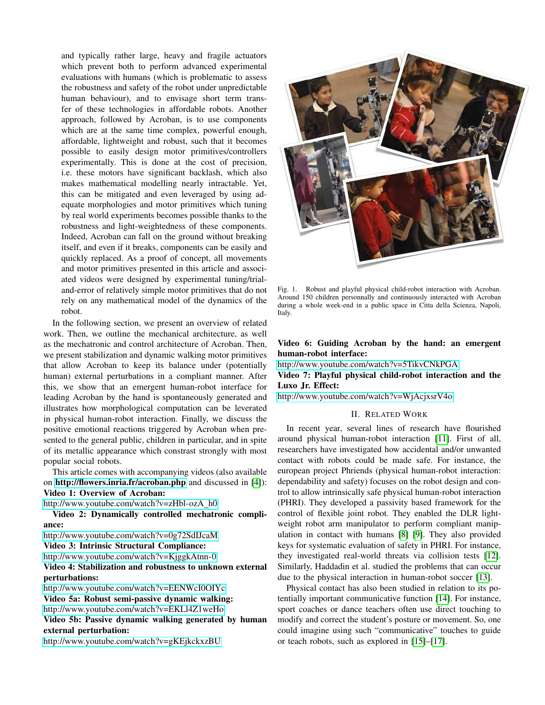and typically rather large, heavy and fragile actuators which prevent both to perform advanced experimental evaluations with humans (which is problematic to assess the robustness and safety of the robot under unpredictable human behaviour), and to envisage short term transfer of these technologies in affordable robots. Another approach, followed by Acroban, is to use components which are at the same time complex, powerful enough, affordable, lightweight and robust, such that it becomes possible to easily design motor primitives/controllers experimentally. This is done at the cost of precision, i.e. these motors have significant backlash, which also makes mathematical modelling nearly intractable. Yet, this can be mitigated and even leveraged by using adequate morphologies and motor primitives which tuning by real world experiments becomes possible thanks to the robustness and light-weightedness of these components. Indeed, Acroban can fall on the ground without breaking itself, and even if it breaks, components can be easily and quickly replaced. As a proof of concept, all movements and motor primitives presented in this article and associated videos were designed by experimental tuning/trialand-error of relatively simple motor primitives that do not rely on any mathematical model of the dynamics of the robot.

In the following section, we present an overview of related work. Then, we outline the mechanical architecture, as well as the mechatronic and control architecture of Acroban. Then, we present stabilization and dynamic walking motor primitives that allow Acroban to keep its balance under (potentially human) external perturbations in a compliant manner. After this, we show that an emergent human-robot interface for leading Acroban by the hand is spontaneously generated and illustrates how morphological computation can be leverated in physical human-robot interaction. Finally, we discuss the positive emotional reactions triggered by Acroban when presented to the general public, children in particular, and in spite of its metallic appearance which constrast strongly with most popular social robots.

This article comes with accompanying videos (also available on <http://flowers.inria.fr/acroban.php> and discussed in [\[4\]](#page-8-0)): Video 1: Overview of Acroban:

[http://www.youtube.com/watch?v=zHbl-ozA](http://www.youtube.com/watch?v=zHbl-ozA_h0)\_h0

Video 2: Dynamically controlled mechatronic compliance:

<http://www.youtube.com/watch?v=0g72SdIJcaM>

Video 3: Intrinsic Structural Compliance:

<http://www.youtube.com/watch?v=KjggkAtnn-0>

Video 4: Stabilization and robustness to unknown external perturbations:

<http://www.youtube.com/watch?v=EENWcI0OIYc> Video 5a: Robust semi-passive dynamic walking: <http://www.youtube.com/watch?v=EKLl4Z1weHo>

Video 5b: Passive dynamic walking generated by human external perturbation:

<http://www.youtube.com/watch?v=gKEjkckxzBU>



Fig. 1. Robust and playful physical child-robot interaction with Acroban. Around 150 children personnally and continuously interacted with Acroban during a whole week-end in a public space in Citta della Scienza, Napoli, Italy.

<span id="page-2-0"></span>Video 6: Guiding Acroban by the hand: an emergent human-robot interface:

<http://www.youtube.com/watch?v=5TikvCNkPGA>

Video 7: Playful physical child-robot interaction and the Luxo Jr. Effect:

<http://www.youtube.com/watch?v=WjAcjxsrV4o>

# II. RELATED WORK

In recent year, several lines of research have flourished around physical human-robot interaction [\[11\]](#page-8-7). First of all, researchers have investigated how accidental and/or unwanted contact with robots could be made safe. For instance, the european project Phriends (physical human-robot interaction: dependability and safety) focuses on the robot design and control to allow intrinsically safe physical human-robot interaction (PHRI). They developed a passivity based framework for the control of flexible joint robot. They enabled the DLR lightweight robot arm manipulator to perform compliant manipulation in contact with humans [\[8\]](#page-8-4) [\[9\]](#page-8-5). They also provided keys for systematic evaluation of safety in PHRI. For instance, they investigated real-world threats via collision tests [\[12\]](#page-8-8). Similarly, Haddadin et al. studied the problems that can occur due to the physical interaction in human-robot soccer [\[13\]](#page-8-9).

Physical contact has also been studied in relation to its potentially important communicative function [\[14\]](#page-8-10). For instance, sport coaches or dance teachers often use direct touching to modify and correct the student's posture or movement. So, one could imagine using such "communicative" touches to guide or teach robots, such as explored in [\[15\]](#page-8-11)–[\[17\]](#page-8-12).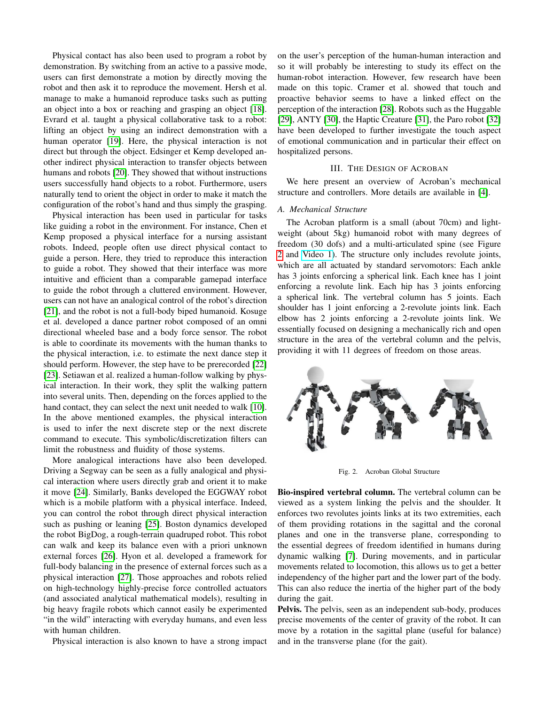Physical contact has also been used to program a robot by demonstration. By switching from an active to a passive mode, users can first demonstrate a motion by directly moving the robot and then ask it to reproduce the movement. Hersh et al. manage to make a humanoid reproduce tasks such as putting an object into a box or reaching and grasping an object [\[18\]](#page-8-13). Evrard et al. taught a physical collaborative task to a robot: lifting an object by using an indirect demonstration with a human operator [\[19\]](#page-8-14). Here, the physical interaction is not direct but through the object. Edsinger et Kemp developed another indirect physical interaction to transfer objects between humans and robots [\[20\]](#page-8-15). They showed that without instructions users successfully hand objects to a robot. Furthermore, users naturally tend to orient the object in order to make it match the configuration of the robot's hand and thus simply the grasping.

Physical interaction has been used in particular for tasks like guiding a robot in the environment. For instance, Chen et Kemp proposed a physical interface for a nursing assistant robots. Indeed, people often use direct physical contact to guide a person. Here, they tried to reproduce this interaction to guide a robot. They showed that their interface was more intuitive and efficient than a comparable gamepad interface to guide the robot through a cluttered environment. However, users can not have an analogical control of the robot's direction [\[21\]](#page-8-16), and the robot is not a full-body biped humanoid. Kosuge et al. developed a dance partner robot composed of an omni directional wheeled base and a body force sensor. The robot is able to coordinate its movements with the human thanks to the physical interaction, i.e. to estimate the next dance step it should perform. However, the step have to be prerecorded [\[22\]](#page-8-17) [\[23\]](#page-8-18). Setiawan et al. realized a human-follow walking by physical interaction. In their work, they split the walking pattern into several units. Then, depending on the forces applied to the hand contact, they can select the next unit needed to walk [\[10\]](#page-8-6). In the above mentioned examples, the physical interaction is used to infer the next discrete step or the next discrete command to execute. This symbolic/discretization filters can limit the robustness and fluidity of those systems.

More analogical interactions have also been developed. Driving a Segway can be seen as a fully analogical and physical interaction where users directly grab and orient it to make it move [\[24\]](#page-8-19). Similarly, Banks developed the EGGWAY robot which is a mobile platform with a physical interface. Indeed, you can control the robot through direct physical interaction such as pushing or leaning [\[25\]](#page-8-20). Boston dynamics developed the robot BigDog, a rough-terrain quadruped robot. This robot can walk and keep its balance even with a priori unknown external forces [\[26\]](#page-8-21). Hyon et al. developed a framework for full-body balancing in the presence of external forces such as a physical interaction [\[27\]](#page-8-22). Those approaches and robots relied on high-technology highly-precise force controlled actuators (and associated analytical mathematical models), resulting in big heavy fragile robots which cannot easily be experimented "in the wild" interacting with everyday humans, and even less with human children.

Physical interaction is also known to have a strong impact

on the user's perception of the human-human interaction and so it will probably be interesting to study its effect on the human-robot interaction. However, few research have been made on this topic. Cramer et al. showed that touch and proactive behavior seems to have a linked effect on the perception of the interaction [\[28\]](#page-8-23). Robots such as the Huggable [\[29\]](#page-8-24), ANTY [\[30\]](#page-8-25), the Haptic Creature [\[31\]](#page-8-26), the Paro robot [\[32\]](#page-8-27) have been developed to further investigate the touch aspect of emotional communication and in particular their effect on hospitalized persons.

## III. THE DESIGN OF ACROBAN

We here present an overview of Acroban's mechanical structure and controllers. More details are available in [\[4\]](#page-8-0).

#### *A. Mechanical Structure*

The Acroban platform is a small (about 70cm) and lightweight (about 5kg) humanoid robot with many degrees of freedom (30 dofs) and a multi-articulated spine (see Figure [2](#page-3-0) and [Video 1\)](http://www.youtube.com/watch?v=zHbl-ozA_h0). The structure only includes revolute joints, which are all actuated by standard servomotors: Each ankle has 3 joints enforcing a spherical link. Each knee has 1 joint enforcing a revolute link. Each hip has 3 joints enforcing a spherical link. The vertebral column has 5 joints. Each shoulder has 1 joint enforcing a 2-revolute joints link. Each elbow has 2 joints enforcing a 2-revolute joints link. We essentially focused on designing a mechanically rich and open structure in the area of the vertebral column and the pelvis, providing it with 11 degrees of freedom on those areas.



<span id="page-3-0"></span>Fig. 2. Acroban Global Structure

Bio-inspired vertebral column. The vertebral column can be viewed as a system linking the pelvis and the shoulder. It enforces two revolutes joints links at its two extremities, each of them providing rotations in the sagittal and the coronal planes and one in the transverse plane, corresponding to the essential degrees of freedom identified in humans during dynamic walking [\[7\]](#page-8-3). During movements, and in particular movements related to locomotion, this allows us to get a better independency of the higher part and the lower part of the body. This can also reduce the inertia of the higher part of the body during the gait.

Pelvis. The pelvis, seen as an independent sub-body, produces precise movements of the center of gravity of the robot. It can move by a rotation in the sagittal plane (useful for balance) and in the transverse plane (for the gait).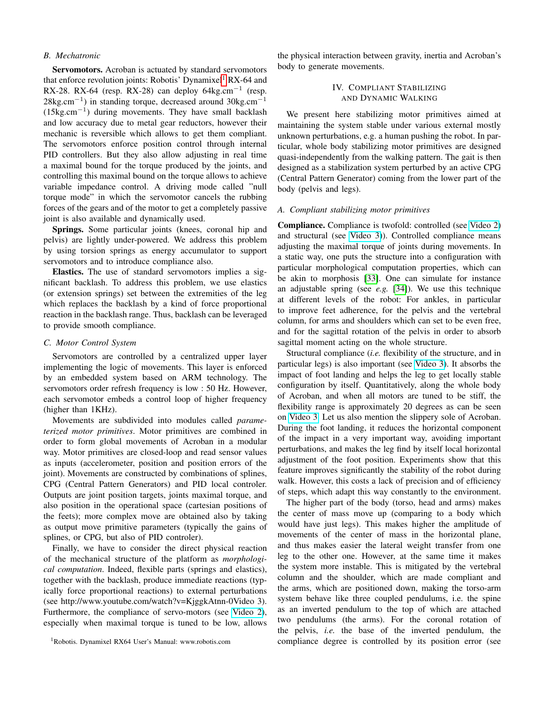## *B. Mechatronic*

Servomotors. Acroban is actuated by standard servomotors that enforce revolution joints: Robotis' Dynamixel<sup>[1](#page-4-0)</sup> RX-64 and RX-28. RX-64 (resp. RX-28) can deploy 64kg.cm<sup>-1</sup> (resp. 28kg.cm−<sup>1</sup> ) in standing torque, decreased around 30kg.cm−<sup>1</sup> (15kg.cm−<sup>1</sup> ) during movements. They have small backlash and low accuracy due to metal gear reductors, however their mechanic is reversible which allows to get them compliant. The servomotors enforce position control through internal PID controllers. But they also allow adjusting in real time a maximal bound for the torque produced by the joints, and controlling this maximal bound on the torque allows to achieve variable impedance control. A driving mode called "null torque mode" in which the servomotor cancels the rubbing forces of the gears and of the motor to get a completely passive joint is also available and dynamically used.

Springs. Some particular joints (knees, coronal hip and pelvis) are lightly under-powered. We address this problem by using torsion springs as energy accumulator to support servomotors and to introduce compliance also.

Elastics. The use of standard servomotors implies a significant backlash. To address this problem, we use elastics (or extension springs) set between the extremities of the leg which replaces the backlash by a kind of force proportional reaction in the backlash range. Thus, backlash can be leveraged to provide smooth compliance.

## *C. Motor Control System*

Servomotors are controlled by a centralized upper layer implementing the logic of movements. This layer is enforced by an embedded system based on ARM technology. The servomotors order refresh frequency is low : 50 Hz. However, each servomotor embeds a control loop of higher frequency (higher than 1KHz).

Movements are subdivided into modules called *parameterized motor primitives*. Motor primitives are combined in order to form global movements of Acroban in a modular way. Motor primitives are closed-loop and read sensor values as inputs (accelerometer, position and position errors of the joint). Movements are constructed by combinations of splines, CPG (Central Pattern Generators) and PID local controler. Outputs are joint position targets, joints maximal torque, and also position in the operational space (cartesian positions of the feets); more complex move are obtained also by taking as output move primitive parameters (typically the gains of splines, or CPG, but also of PID controler).

Finally, we have to consider the direct physical reaction of the mechanical structure of the platform as *morphological computation*. Indeed, flexible parts (springs and elastics), together with the backlash, produce immediate reactions (typically force proportional reactions) to external perturbations (see http://www.youtube.com/watch?v=KjggkAtnn-0Video 3). Furthermore, the compliance of servo-motors (see [Video 2\)](http://www.youtube.com/watch?v=0g72SdIJcaM), especially when maximal torque is tuned to be low, allows the physical interaction between gravity, inertia and Acroban's body to generate movements.

# IV. COMPLIANT STABILIZING AND DYNAMIC WALKING

We present here stabilizing motor primitives aimed at maintaining the system stable under various external mostly unknown perturbations, e.g. a human pushing the robot. In particular, whole body stabilizing motor primitives are designed quasi-independently from the walking pattern. The gait is then designed as a stabilization system perturbed by an active CPG (Central Pattern Generator) coming from the lower part of the body (pelvis and legs).

#### *A. Compliant stabilizing motor primitives*

Compliance. Compliance is twofold: controlled (see [Video 2\)](http://www.youtube.com/watch?v=0g72SdIJcaM) and structural (see [Video 3\)](http://www.youtube.com/watch?v=KjggkAtnn-0)). Controlled compliance means adjusting the maximal torque of joints during movements. In a static way, one puts the structure into a configuration with particular morphological computation properties, which can be akin to morphosis [\[33\]](#page-8-28). One can simulate for instance an adjustable spring (see *e.g.* [\[34\]](#page-8-29)). We use this technique at different levels of the robot: For ankles, in particular to improve feet adherence, for the pelvis and the vertebral column, for arms and shoulders which can set to be even free, and for the sagittal rotation of the pelvis in order to absorb sagittal moment acting on the whole structure.

Structural compliance (*i.e.* flexibility of the structure, and in particular legs) is also important (see [Video 3\)](http://www.youtube.com/watch?v=KjggkAtnn-0). It absorbs the impact of foot landing and helps the leg to get locally stable configuration by itself. Quantitatively, along the whole body of Acroban, and when all motors are tuned to be stiff, the flexibility range is approximately 20 degrees as can be seen on [Video 3.](http://www.youtube.com/watch?v=KjggkAtnn-0) Let us also mention the slippery sole of Acroban. During the foot landing, it reduces the horizontal component of the impact in a very important way, avoiding important perturbations, and makes the leg find by itself local horizontal adjustment of the foot position. Experiments show that this feature improves significantly the stability of the robot during walk. However, this costs a lack of precision and of efficiency of steps, which adapt this way constantly to the environment.

The higher part of the body (torso, head and arms) makes the center of mass move up (comparing to a body which would have just legs). This makes higher the amplitude of movements of the center of mass in the horizontal plane, and thus makes easier the lateral weight transfer from one leg to the other one. However, at the same time it makes the system more instable. This is mitigated by the vertebral column and the shoulder, which are made compliant and the arms, which are positioned down, making the torso-arm system behave like three coupled pendulums, i.e. the spine as an inverted pendulum to the top of which are attached two pendulums (the arms). For the coronal rotation of the pelvis, *i.e.* the base of the inverted pendulum, the compliance degree is controlled by its position error (see

<span id="page-4-0"></span><sup>1</sup>Robotis. Dynamixel RX64 User's Manual: www.robotis.com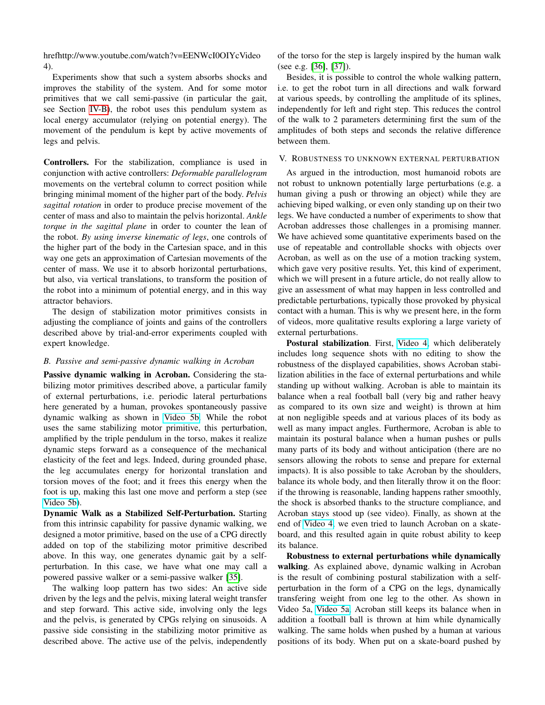hrefhttp://www.youtube.com/watch?v=EENWcI0OIYcVideo 4).

Experiments show that such a system absorbs shocks and improves the stability of the system. And for some motor primitives that we call semi-passive (in particular the gait, see Section [IV-B\)](#page-5-0), the robot uses this pendulum system as local energy accumulator (relying on potential energy). The movement of the pendulum is kept by active movements of legs and pelvis.

Controllers. For the stabilization, compliance is used in conjunction with active controllers: *Deformable parallelogram* movements on the vertebral column to correct position while bringing minimal moment of the higher part of the body. *Pelvis sagittal rotation* in order to produce precise movement of the center of mass and also to maintain the pelvis horizontal. *Ankle torque in the sagittal plane* in order to counter the lean of the robot. *By using inverse kinematic of legs*, one controls of the higher part of the body in the Cartesian space, and in this way one gets an approximation of Cartesian movements of the center of mass. We use it to absorb horizontal perturbations, but also, via vertical translations, to transform the position of the robot into a minimum of potential energy, and in this way attractor behaviors.

The design of stabilization motor primitives consists in adjusting the compliance of joints and gains of the controllers described above by trial-and-error experiments coupled with expert knowledge.

# <span id="page-5-0"></span>*B. Passive and semi-passive dynamic walking in Acroban*

Passive dynamic walking in Acroban. Considering the stabilizing motor primitives described above, a particular family of external perturbations, i.e. periodic lateral perturbations here generated by a human, provokes spontaneously passive dynamic walking as shown in [Video 5b.](http://www.youtube.com/watch?v=gKEjkckxzBU) While the robot uses the same stabilizing motor primitive, this perturbation, amplified by the triple pendulum in the torso, makes it realize dynamic steps forward as a consequence of the mechanical elasticity of the feet and legs. Indeed, during grounded phase, the leg accumulates energy for horizontal translation and torsion moves of the foot; and it frees this energy when the foot is up, making this last one move and perform a step (see [Video 5b\)](http://www.youtube.com/watch?v=gKEjkckxzBU).

Dynamic Walk as a Stabilized Self-Perturbation. Starting from this intrinsic capability for passive dynamic walking, we designed a motor primitive, based on the use of a CPG directly added on top of the stabilizing motor primitive described above. In this way, one generates dynamic gait by a selfperturbation. In this case, we have what one may call a powered passive walker or a semi-passive walker [\[35\]](#page-8-30).

The walking loop pattern has two sides: An active side driven by the legs and the pelvis, mixing lateral weight transfer and step forward. This active side, involving only the legs and the pelvis, is generated by CPGs relying on sinusoids. A passive side consisting in the stabilizing motor primitive as described above. The active use of the pelvis, independently of the torso for the step is largely inspired by the human walk (see e.g. [\[36\]](#page-8-31), [\[37\]](#page-8-32)).

Besides, it is possible to control the whole walking pattern, i.e. to get the robot turn in all directions and walk forward at various speeds, by controlling the amplitude of its splines, independently for left and right step. This reduces the control of the walk to 2 parameters determining first the sum of the amplitudes of both steps and seconds the relative difference between them.

# V. ROBUSTNESS TO UNKNOWN EXTERNAL PERTURBATION

As argued in the introduction, most humanoid robots are not robust to unknown potentially large perturbations (e.g. a human giving a push or throwing an object) while they are achieving biped walking, or even only standing up on their two legs. We have conducted a number of experiments to show that Acroban addresses those challenges in a promising manner. We have achieved some quantitative experiments based on the use of repeatable and controllable shocks with objects over Acroban, as well as on the use of a motion tracking system, which gave very positive results. Yet, this kind of experiment, which we will present in a future article, do not really allow to give an assessment of what may happen in less controlled and predictable perturbations, typically those provoked by physical contact with a human. This is why we present here, in the form of videos, more qualitative results exploring a large variety of external perturbations.

Postural stabilization. First, [Video 4,](http://www.youtube.com/watch?v=EENWcI0OIYc) which deliberately includes long sequence shots with no editing to show the robustness of the displayed capabilities, shows Acroban stabilization abilities in the face of external perturbations and while standing up without walking. Acroban is able to maintain its balance when a real football ball (very big and rather heavy as compared to its own size and weight) is thrown at him at non negligible speeds and at various places of its body as well as many impact angles. Furthermore, Acroban is able to maintain its postural balance when a human pushes or pulls many parts of its body and without anticipation (there are no sensors allowing the robots to sense and prepare for external impacts). It is also possible to take Acroban by the shoulders, balance its whole body, and then literally throw it on the floor: if the throwing is reasonable, landing happens rather smoothly, the shock is absorbed thanks to the structure compliance, and Acroban stays stood up (see video). Finally, as shown at the end of [Video 4,](http://www.youtube.com/watch?v=EENWcI0OIYc) we even tried to launch Acroban on a skateboard, and this resulted again in quite robust ability to keep its balance.

Robustness to external perturbations while dynamically walking. As explained above, dynamic walking in Acroban is the result of combining postural stabilization with a selfperturbation in the form of a CPG on the legs, dynamically transfering weight from one leg to the other. As shown in Video 5a, [Video 5a,](http://www.youtube.com/watch?v=EKLl4Z1weHo) Acroban still keeps its balance when in addition a football ball is thrown at him while dynamically walking. The same holds when pushed by a human at various positions of its body. When put on a skate-board pushed by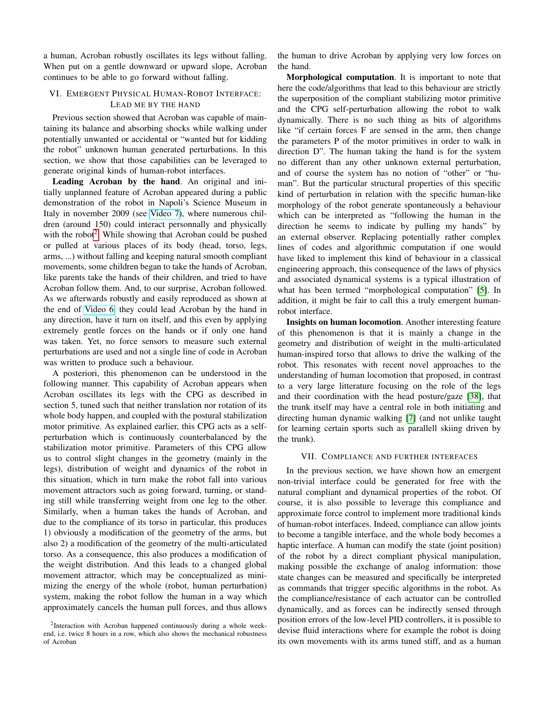a human, Acroban robustly oscillates its legs without falling. When put on a gentle downward or upward slope, Acroban continues to be able to go forward without falling.

# VI. EMERGENT PHYSICAL HUMAN-ROBOT INTERFACE: LEAD ME BY THE HAND

Previous section showed that Acroban was capable of maintaining its balance and absorbing shocks while walking under potentially unwanted or accidental or "wanted but for kidding the robot" unknown human generated perturbations. In this section, we show that those capabilities can be leveraged to generate original kinds of human-robot interfaces.

Leading Acroban by the hand. An original and initially unplanned feature of Acroban appeared during a public demonstration of the robot in Napoli's Science Museum in Italy in november 2009 (see [Video 7\)](http://www.youtube.com/watch?v=WjAcjxsrV4o), where numerous children (around 150) could interact personnally and physically with the robot<sup>[2](#page-6-0)</sup>. While showing that Acroban could be pushed or pulled at various places of its body (head, torso, legs, arms, ...) without falling and keeping natural smooth compliant movements, some children began to take the hands of Acroban, like parents take the hands of their children, and tried to have Acroban follow them. And, to our surprise, Acroban followed. As we afterwards robustly and easily reproduced as shown at the end of [Video 6,](http://www.youtube.com/watch?v=5TikvCNkPGA) they could lead Acroban by the hand in any direction, have it turn on itself, and this even by applying extremely gentle forces on the hands or if only one hand was taken. Yet, no force sensors to measure such external perturbations are used and not a single line of code in Acroban was written to produce such a behaviour.

A posteriori, this phenomenon can be understood in the following manner. This capability of Acroban appears when Acroban oscillates its legs with the CPG as described in section 5, tuned such that neither translation nor rotation of its whole body happen, and coupled with the postural stabilization motor primitive. As explained earlier, this CPG acts as a selfperturbation which is continuously counterbalanced by the stabilization motor primitive. Parameters of this CPG allow us to control slight changes in the geometry (mainly in the legs), distribution of weight and dynamics of the robot in this situation, which in turn make the robot fall into various movement attractors such as going forward, turning, or standing still while transferring weight from one leg to the other. Similarly, when a human takes the hands of Acroban, and due to the compliance of its torso in particular, this produces 1) obviously a modification of the geometry of the arms, but also 2) a modification of the geometry of the multi-articulated torso. As a consequence, this also produces a modification of the weight distribution. And this leads to a changed global movement attractor, which may be conceptualized as minimizing the energy of the whole (robot, human perturbation) system, making the robot follow the human in a way which approximately cancels the human pull forces, and thus allows the human to drive Acroban by applying very low forces on the hand.

Morphological computation. It is important to note that here the code/algorithms that lead to this behaviour are strictly the superposition of the compliant stabilizing motor primitive and the CPG self-perturbation allowing the robot to walk dynamically. There is no such thing as bits of algorithms like "if certain forces F are sensed in the arm, then change the parameters P of the motor primitives in order to walk in direction D". The human taking the hand is for the system no different than any other unknown external perturbation, and of course the system has no notion of "other" or "human". But the particular structural properties of this specific kind of perturbation in relation with the specific human-like morphology of the robot generate spontaneously a behaviour which can be interpreted as "following the human in the direction he seems to indicate by pulling my hands" by an external observer. Replacing potentially rather complex lines of codes and algorithmic computation if one would have liked to implement this kind of behaviour in a classical engineering approach, this consequence of the laws of physics and associated dynamical systems is a typical illustration of what has been termed "morphological computation" [\[5\]](#page-8-1). In addition, it might be fair to call this a truly emergent humanrobot interface.

Insights on human locomotion. Another interesting feature of this phenomenon is that it is mainly a change in the geometry and distribution of weight in the multi-articulated human-inspired torso that allows to drive the walking of the robot. This resonates with recent novel approaches to the understanding of human locomotion that proposed, in contrast to a very large litterature focusing on the role of the legs and their coordination with the head posture/gaze [\[38\]](#page-8-33), that the trunk itself may have a central role in both initiating and directing human dynamic walking [\[7\]](#page-8-3) (and not unlike taught for learning certain sports such as parallell skiing driven by the trunk).

#### VII. COMPLIANCE AND FURTHER INTERFACES

In the previous section, we have shown how an emergent non-trivial interface could be generated for free with the natural compliant and dynamical properties of the robot. Of course, it is also possible to leverage this compliance and approximate force control to implement more traditional kinds of human-robot interfaces. Indeed, compliance can allow joints to become a tangible interface, and the whole body becomes a haptic interface. A human can modify the state (joint position) of the robot by a direct compliant physical manipulation, making possible the exchange of analog information: those state changes can be measured and specifically be interpreted as commands that trigger specific algorithms in the robot. As the compliance/resistance of each actuator can be controlled dynamically, and as forces can be indirectly sensed through position errors of the low-level PID controllers, it is possible to devise fluid interactions where for example the robot is doing its own movements with its arms tuned stiff, and as a human

<span id="page-6-0"></span><sup>&</sup>lt;sup>2</sup>Interaction with Acroban happened continuously during a whole weekend, i.e. twice 8 hours in a row, which also shows the mechanical robustness of Acroban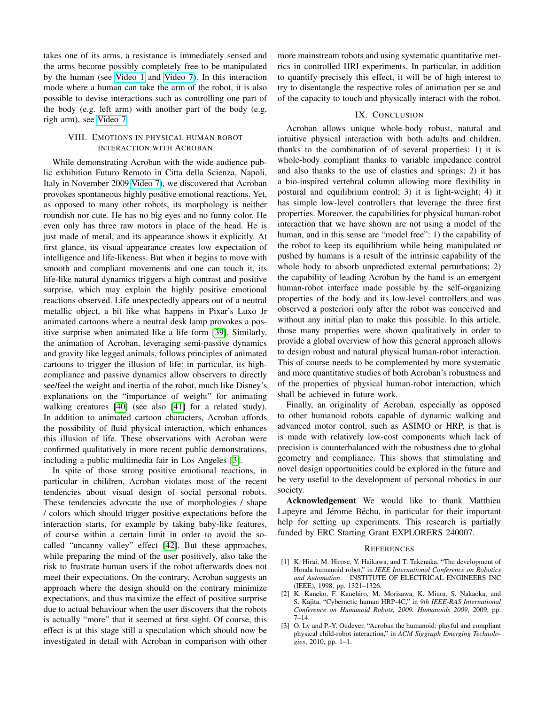takes one of its arms, a resistance is immediately sensed and the arms become possibly completely free to be manipulated by the human (see [Video 1](http://www.youtube.com/watch?v=zHbl-ozA_h0) and [Video 7\)](http://www.youtube.com/watch?v=WjAcjxsrV4o). In this interaction mode where a human can take the arm of the robot, it is also possible to devise interactions such as controlling one part of the body (e.g. left arm) with another part of the body (e.g. righ arm), see [Video 7.](http://www.youtube.com/watch?v=WjAcjxsrV4o)

# VIII. EMOTIONS IN PHYSICAL HUMAN ROBOT INTERACTION WITH ACROBAN

While demonstrating Acroban with the wide audience public exhibition Futuro Remoto in Citta della Scienza, Napoli, Italy in November 2009 [Video 7\)](http://www.youtube.com/watch?v=WjAcjxsrV4o), we discovered that Acroban provokes spontaneous highly positive emotional reactions. Yet, as opposed to many other robots, its morphology is neither roundish nor cute. He has no big eyes and no funny color. He even only has three raw motors in place of the head. He is just made of metal, and its appearance shows it explicitly. At first glance, its visual appearance creates low expectation of intelligence and life-likeness. But when it begins to move with smooth and compliant movements and one can touch it, its life-like natural dynamics triggers a high contrast and positive surprise, which may explain the highly positive emotional reactions observed. Life unexpectedly appears out of a neutral metallic object, a bit like what happens in Pixar's Luxo Jr animated cartoons where a neutral desk lamp provokes a positive surprise when animated like a life form [\[39\]](#page-8-34). Similarly, the animation of Acroban, leveraging semi-passive dynamics and gravity like legged animals, follows principles of animated cartoons to trigger the illusion of life: in particular, its highcompliance and passive dynamics allow observers to directly see/feel the weight and inertia of the robot, much like Disney's explanations on the "importance of weight" for animating walking creatures [\[40\]](#page-8-35) (see also [\[41\]](#page-8-36) for a related study). In addition to animated cartoon characters, Acroban affords the possibility of fluid physical interaction, which enhances this illusion of life. These observations with Acroban were confirmed qualitatively in more recent public demonstrations, including a public multimedia fair in Los Angeles [\[3\]](#page-7-2).

In spite of those strong positive emotional reactions, in particular in children, Acroban violates most of the recent tendencies about visual design of social personal robots. These tendencies advocate the use of morphologies / shape / colors which should trigger positive expectations before the interaction starts, for example by taking baby-like features, of course within a certain limit in order to avoid the socalled "uncanny valley" effect [\[42\]](#page-8-37). But these approaches, while preparing the mind of the user positively, also take the risk to frustrate human users if the robot afterwards does not meet their expectations. On the contrary, Acroban suggests an approach where the design should on the contrary minimize expectations, and thus maximize the effect of positive surprise due to actual behaviour when the user discovers that the robots is actually "more" that it seemed at first sight. Of course, this effect is at this stage still a speculation which should now be investigated in detail with Acroban in comparison with other more mainstream robots and using systematic quantitative metrics in controlled HRI experiments. In particular, in addition to quantify precisely this effect, it will be of high interest to try to disentangle the respective roles of animation per se and of the capacity to touch and physically interact with the robot.

#### IX. CONCLUSION

Acroban allows unique whole-body robust, natural and intuitive physical interaction with both adults and children, thanks to the combination of of several properties: 1) it is whole-body compliant thanks to variable impedance control and also thanks to the use of elastics and springs; 2) it has a bio-inspired vertebral column allowing more flexibility in postural and equilibrium control; 3) it is light-weight; 4) it has simple low-level controllers that leverage the three first properties. Moreover, the capabilities for physical human-robot interaction that we have shown are not using a model of the human, and in this sense are "model free": 1) the capability of the robot to keep its equilibrium while being manipulated or pushed by humans is a result of the intrinsic capability of the whole body to absorb unpredicted external perturbations; 2) the capability of leading Acroban by the hand is an emergent human-robot interface made possible by the self-organizing properties of the body and its low-level controllers and was observed a posteriori only after the robot was conceived and without any initial plan to make this possible. In this article, those many properties were shown qualitatively in order to provide a global overview of how this general approach allows to design robust and natural physical human-robot interaction. This of course needs to be complemented by more systematic and more quantitative studies of both Acroban's robustness and of the properties of physical human-robot interaction, which shall be achieved in future work.

Finally, an originality of Acroban, especially as opposed to other humanoid robots capable of dynamic walking and advanced motor control, such as ASIMO or HRP, is that is is made with relatively low-cost components which lack of precision is counterbalanced with the robustness due to global geometry and compliance. This shows that stimulating and novel design opportunities could be explored in the future and be very useful to the development of personal robotics in our society.

Acknowledgement We would like to thank Matthieu Lapeyre and Jérome Béchu, in particular for their important help for setting up experiments. This research is partially funded by ERC Starting Grant EXPLORERS 240007.

#### **REFERENCES**

- <span id="page-7-0"></span>[1] K. Hirai, M. Hirose, Y. Haikawa, and T. Takenaka, "The development of Honda humanoid robot," in *IEEE International Conference on Robotics and Automation*. INSTITUTE OF ELECTRICAL ENGINEERS INC (IEEE), 1998, pp. 1321–1326.
- <span id="page-7-1"></span>[2] K. Kaneko, F. Kanehiro, M. Morisawa, K. Miura, S. Nakaoka, and S. Kajita, "Cybernetic human HRP-4C," in *9th IEEE-RAS International Conference on Humanoid Robots, 2009. Humanoids 2009*, 2009, pp. 7–14.
- <span id="page-7-2"></span>[3] O. Ly and P.-Y. Oudeyer, "Acroban the humanoid: playful and compliant physical child-robot interaction," in *ACM Siggraph Emerging Technologies*, 2010, pp. 1–1.